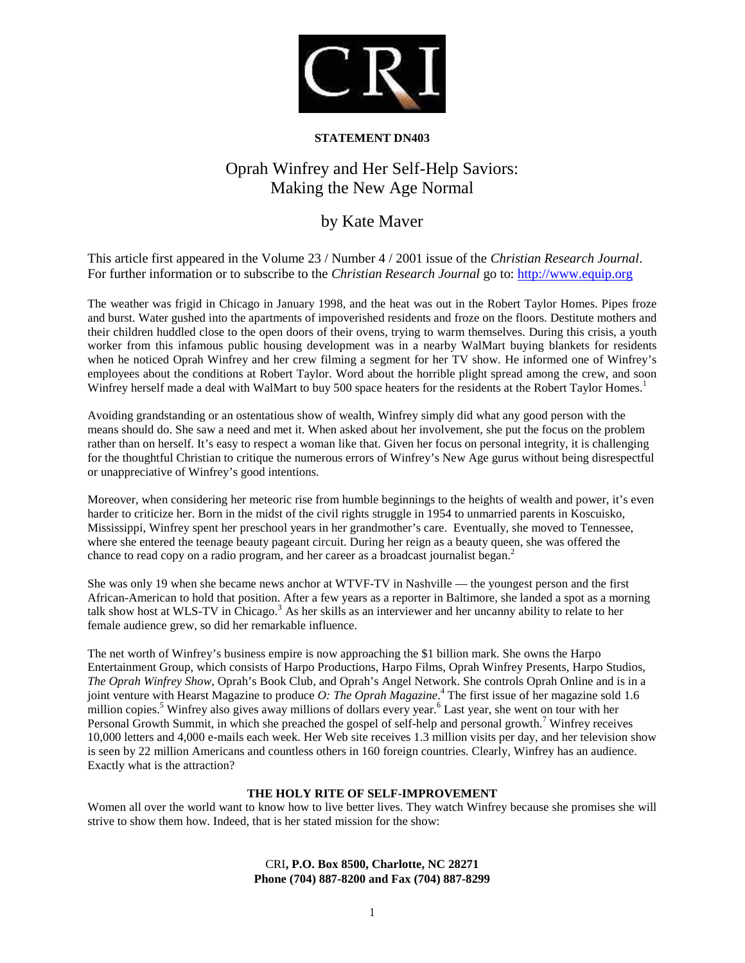

# **STATEMENT DN403**

# Oprah Winfrey and Her Self-Help Saviors: Making the New Age Normal

# by Kate Maver

This article first appeared in the Volume 23 / Number 4 / 2001 issue of the *Christian Research Journal*. For further information or to subscribe to the *Christian Research Journal* go to: http://www.equip.org

The weather was frigid in Chicago in January 1998, and the heat was out in the Robert Taylor Homes. Pipes froze and burst. Water gushed into the apartments of impoverished residents and froze on the floors. Destitute mothers and their children huddled close to the open doors of their ovens, trying to warm themselves. During this crisis, a youth worker from this infamous public housing development was in a nearby WalMart buying blankets for residents when he noticed Oprah Winfrey and her crew filming a segment for her TV show. He informed one of Winfrey's employees about the conditions at Robert Taylor. Word about the horrible plight spread among the crew, and soon Winfrey herself made a deal with WalMart to buy 500 space heaters for the residents at the Robert Taylor Homes.<sup>1</sup>

Avoiding grandstanding or an ostentatious show of wealth, Winfrey simply did what any good person with the means should do. She saw a need and met it. When asked about her involvement, she put the focus on the problem rather than on herself. It's easy to respect a woman like that. Given her focus on personal integrity, it is challenging for the thoughtful Christian to critique the numerous errors of Winfrey's New Age gurus without being disrespectful or unappreciative of Winfrey's good intentions.

Moreover, when considering her meteoric rise from humble beginnings to the heights of wealth and power, it's even harder to criticize her. Born in the midst of the civil rights struggle in 1954 to unmarried parents in Koscuisko, Mississippi, Winfrey spent her preschool years in her grandmother's care. Eventually, she moved to Tennessee, where she entered the teenage beauty pageant circuit. During her reign as a beauty queen, she was offered the chance to read copy on a radio program, and her career as a broadcast journalist began.<sup>2</sup>

She was only 19 when she became news anchor at WTVF-TV in Nashville — the youngest person and the first African-American to hold that position. After a few years as a reporter in Baltimore, she landed a spot as a morning talk show host at WLS-TV in Chicago.<sup>3</sup> As her skills as an interviewer and her uncanny ability to relate to her female audience grew, so did her remarkable influence.

The net worth of Winfrey's business empire is now approaching the \$1 billion mark. She owns the Harpo Entertainment Group, which consists of Harpo Productions, Harpo Films, Oprah Winfrey Presents, Harpo Studios, *The Oprah Winfrey Show*, Oprah's Book Club, and Oprah's Angel Network. She controls Oprah Online and is in a joint venture with Hearst Magazine to produce *O: The Oprah Magazine*. <sup>4</sup> The first issue of her magazine sold 1.6 million copies.<sup>5</sup> Winfrey also gives away millions of dollars every year.<sup>6</sup> Last year, she went on tour with her Personal Growth Summit, in which she preached the gospel of self-help and personal growth.<sup>7</sup> Winfrey receives 10,000 letters and 4,000 e-mails each week. Her Web site receives 1.3 million visits per day, and her television show is seen by 22 million Americans and countless others in 160 foreign countries. Clearly, Winfrey has an audience. Exactly what is the attraction?

# **THE HOLY RITE OF SELF-IMPROVEMENT**

Women all over the world want to know how to live better lives. They watch Winfrey because she promises she will strive to show them how. Indeed, that is her stated mission for the show: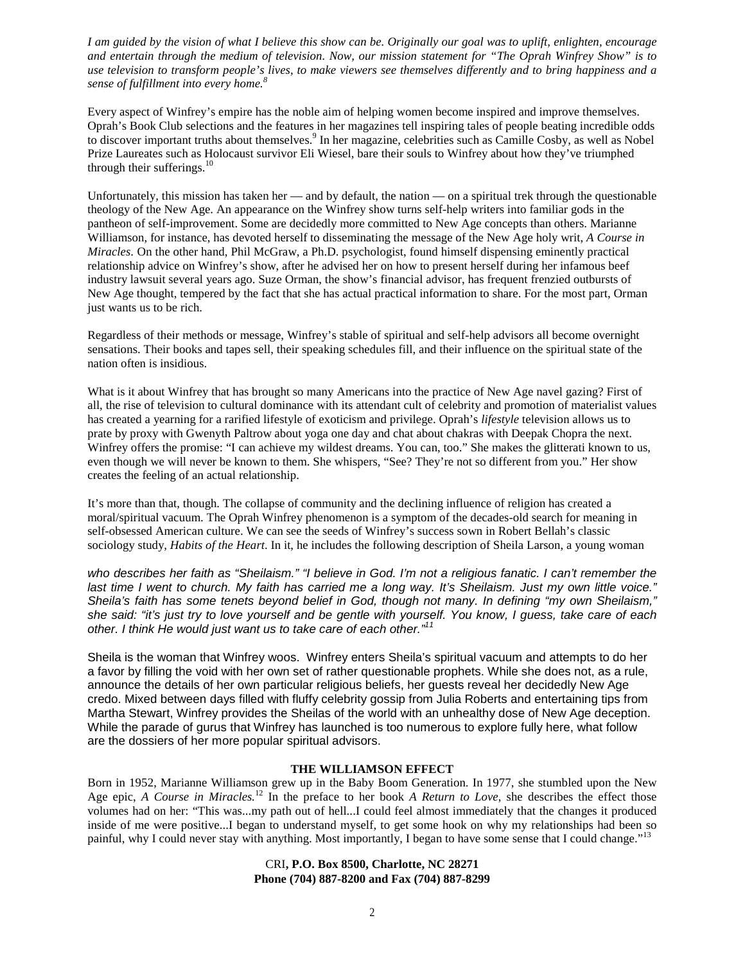*I am guided by the vision of what I believe this show can be. Originally our goal was to uplift, enlighten, encourage and entertain through the medium of television. Now, our mission statement for "The Oprah Winfrey Show" is to use television to transform people's lives, to make viewers see themselves differently and to bring happiness and a sense of fulfillment into every home.<sup>8</sup>*

Every aspect of Winfrey's empire has the noble aim of helping women become inspired and improve themselves. Oprah's Book Club selections and the features in her magazines tell inspiring tales of people beating incredible odds to discover important truths about themselves.<sup>9</sup> In her magazine, celebrities such as Camille Cosby, as well as Nobel Prize Laureates such as Holocaust survivor Eli Wiesel, bare their souls to Winfrey about how they've triumphed through their sufferings.<sup>10</sup>

Unfortunately, this mission has taken her — and by default, the nation — on a spiritual trek through the questionable theology of the New Age. An appearance on the Winfrey show turns self-help writers into familiar gods in the pantheon of self-improvement. Some are decidedly more committed to New Age concepts than others. Marianne Williamson, for instance, has devoted herself to disseminating the message of the New Age holy writ, *A Course in Miracles*. On the other hand, Phil McGraw, a Ph.D. psychologist, found himself dispensing eminently practical relationship advice on Winfrey's show, after he advised her on how to present herself during her infamous beef industry lawsuit several years ago. Suze Orman, the show's financial advisor, has frequent frenzied outbursts of New Age thought, tempered by the fact that she has actual practical information to share. For the most part, Orman just wants us to be rich.

Regardless of their methods or message, Winfrey's stable of spiritual and self-help advisors all become overnight sensations. Their books and tapes sell, their speaking schedules fill, and their influence on the spiritual state of the nation often is insidious.

What is it about Winfrey that has brought so many Americans into the practice of New Age navel gazing? First of all, the rise of television to cultural dominance with its attendant cult of celebrity and promotion of materialist values has created a yearning for a rarified lifestyle of exoticism and privilege. Oprah's *lifestyle* television allows us to prate by proxy with Gwenyth Paltrow about yoga one day and chat about chakras with Deepak Chopra the next. Winfrey offers the promise: "I can achieve my wildest dreams. You can, too." She makes the glitterati known to us, even though we will never be known to them. She whispers, "See? They're not so different from you." Her show creates the feeling of an actual relationship.

It's more than that, though. The collapse of community and the declining influence of religion has created a moral/spiritual vacuum. The Oprah Winfrey phenomenon is a symptom of the decades-old search for meaning in self-obsessed American culture. We can see the seeds of Winfrey's success sown in Robert Bellah's classic sociology study*, Habits of the Heart*. In it, he includes the following description of Sheila Larson, a young woman

*who describes her faith as "Sheilaism." "I believe in God. I'm not a religious fanatic. I can't remember the last time I went to church. My faith has carried me a long way. It's Sheilaism. Just my own little voice." Sheila's faith has some tenets beyond belief in God, though not many. In defining "my own Sheilaism," she said: "it's just try to love yourself and be gentle with yourself. You know, I guess, take care of each other. I think He would just want us to take care of each other."<sup>11</sup>*

Sheila is the woman that Winfrey woos. Winfrey enters Sheila's spiritual vacuum and attempts to do her a favor by filling the void with her own set of rather questionable prophets. While she does not, as a rule, announce the details of her own particular religious beliefs, her guests reveal her decidedly New Age credo. Mixed between days filled with fluffy celebrity gossip from Julia Roberts and entertaining tips from Martha Stewart, Winfrey provides the Sheilas of the world with an unhealthy dose of New Age deception. While the parade of gurus that Winfrey has launched is too numerous to explore fully here, what follow are the dossiers of her more popular spiritual advisors.

### **THE WILLIAMSON EFFECT**

Born in 1952, Marianne Williamson grew up in the Baby Boom Generation. In 1977, she stumbled upon the New Age epic, *A Course in Miracles.*<sup>12</sup> In the preface to her book *A Return to Love*, she describes the effect those volumes had on her: "This was...my path out of hell...I could feel almost immediately that the changes it produced inside of me were positive...I began to understand myself, to get some hook on why my relationships had been so painful, why I could never stay with anything. Most importantly, I began to have some sense that I could change."<sup>13</sup>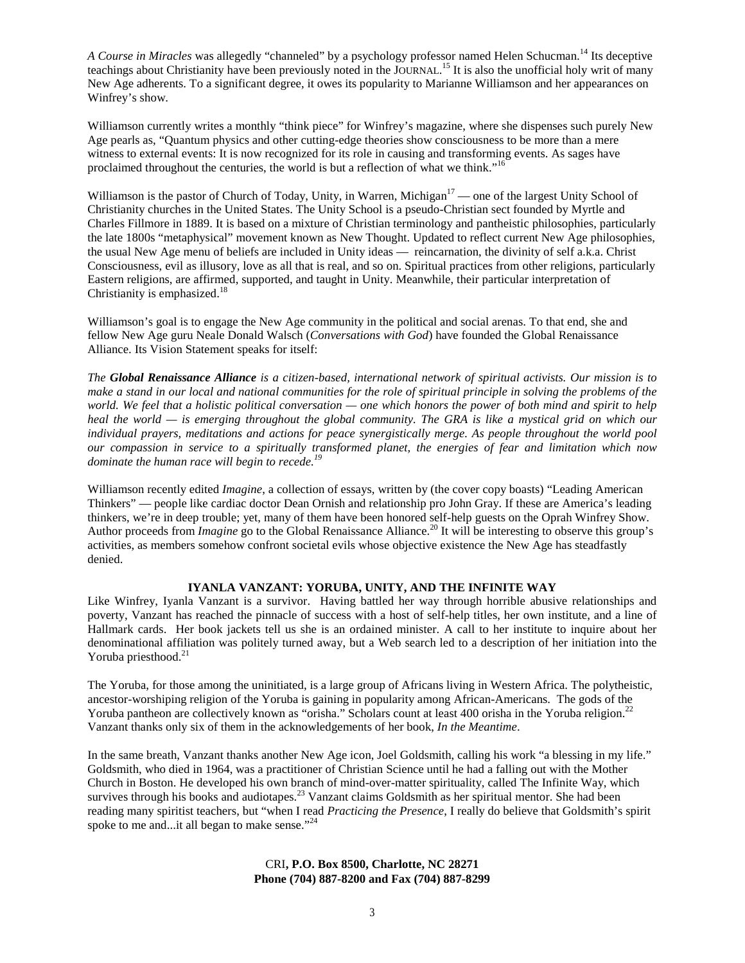*A Course in Miracles* was allegedly "channeled" by a psychology professor named Helen Schucman.<sup>14</sup> Its deceptive teachings about Christianity have been previously noted in the JOURNAL.<sup>15</sup> It is also the unofficial holy writ of many New Age adherents. To a significant degree, it owes its popularity to Marianne Williamson and her appearances on Winfrey's show.

Williamson currently writes a monthly "think piece" for Winfrey's magazine, where she dispenses such purely New Age pearls as, "Quantum physics and other cutting-edge theories show consciousness to be more than a mere witness to external events: It is now recognized for its role in causing and transforming events. As sages have proclaimed throughout the centuries, the world is but a reflection of what we think."<sup>16</sup>

Williamson is the pastor of Church of Today, Unity, in Warren, Michigan<sup>17</sup> — one of the largest Unity School of Christianity churches in the United States. The Unity School is a pseudo-Christian sect founded by Myrtle and Charles Fillmore in 1889. It is based on a mixture of Christian terminology and pantheistic philosophies, particularly the late 1800s "metaphysical" movement known as New Thought. Updated to reflect current New Age philosophies, the usual New Age menu of beliefs are included in Unity ideas — reincarnation, the divinity of self a.k.a. Christ Consciousness, evil as illusory, love as all that is real, and so on. Spiritual practices from other religions, particularly Eastern religions, are affirmed, supported, and taught in Unity. Meanwhile, their particular interpretation of Christianity is emphasized.<sup>18</sup>

Williamson's goal is to engage the New Age community in the political and social arenas. To that end, she and fellow New Age guru Neale Donald Walsch (*Conversations with God*) have founded the Global Renaissance Alliance. Its Vision Statement speaks for itself:

*The Global Renaissance Alliance is a citizen-based, international network of spiritual activists. Our mission is to make a stand in our local and national communities for the role of spiritual principle in solving the problems of the world. We feel that a holistic political conversation — one which honors the power of both mind and spirit to help heal the world — is emerging throughout the global community. The GRA is like a mystical grid on which our individual prayers, meditations and actions for peace synergistically merge. As people throughout the world pool our compassion in service to a spiritually transformed planet, the energies of fear and limitation which now dominate the human race will begin to recede.<sup>19</sup>*

Williamson recently edited *Imagine*, a collection of essays, written by (the cover copy boasts) "Leading American Thinkers" — people like cardiac doctor Dean Ornish and relationship pro John Gray. If these are America's leading thinkers, we're in deep trouble; yet, many of them have been honored self-help guests on the Oprah Winfrey Show. Author proceeds from *Imagine* go to the Global Renaissance Alliance.<sup>20</sup> It will be interesting to observe this group's activities, as members somehow confront societal evils whose objective existence the New Age has steadfastly denied.

#### **IYANLA VANZANT: YORUBA, UNITY, AND THE INFINITE WAY**

Like Winfrey, Iyanla Vanzant is a survivor. Having battled her way through horrible abusive relationships and poverty, Vanzant has reached the pinnacle of success with a host of self-help titles, her own institute, and a line of Hallmark cards. Her book jackets tell us she is an ordained minister. A call to her institute to inquire about her denominational affiliation was politely turned away, but a Web search led to a description of her initiation into the Yoruba priesthood.<sup>21</sup>

The Yoruba, for those among the uninitiated, is a large group of Africans living in Western Africa. The polytheistic, ancestor-worshiping religion of the Yoruba is gaining in popularity among African-Americans. The gods of the Yoruba pantheon are collectively known as "orisha." Scholars count at least 400 orisha in the Yoruba religion.<sup>22</sup> Vanzant thanks only six of them in the acknowledgements of her book, *In the Meantime*.

In the same breath, Vanzant thanks another New Age icon, Joel Goldsmith, calling his work "a blessing in my life." Goldsmith, who died in 1964, was a practitioner of Christian Science until he had a falling out with the Mother Church in Boston. He developed his own branch of mind-over-matter spirituality, called The Infinite Way, which survives through his books and audiotapes.<sup>23</sup> Vanzant claims Goldsmith as her spiritual mentor. She had been reading many spiritist teachers, but "when I read *Practicing the Presence*, I really do believe that Goldsmith's spirit spoke to me and...it all began to make sense."<sup>24</sup>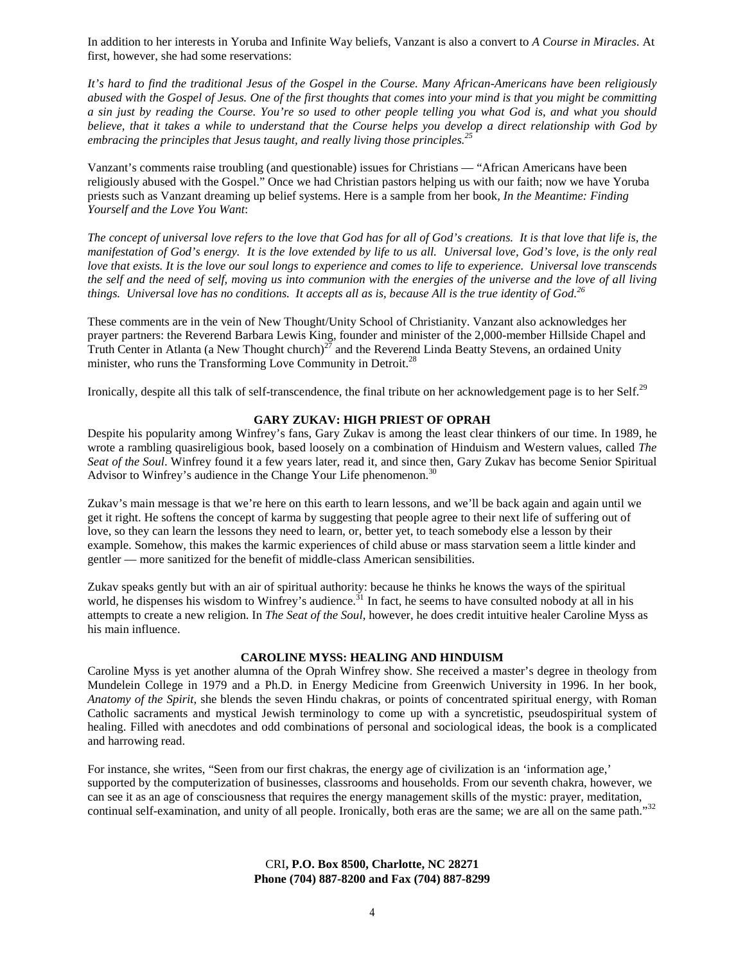In addition to her interests in Yoruba and Infinite Way beliefs, Vanzant is also a convert to *A Course in Miracles*. At first, however, she had some reservations:

*It's hard to find the traditional Jesus of the Gospel in the Course. Many African-Americans have been religiously abused with the Gospel of Jesus. One of the first thoughts that comes into your mind is that you might be committing a sin just by reading the Course. You're so used to other people telling you what God is, and what you should believe, that it takes a while to understand that the Course helps you develop a direct relationship with God by embracing the principles that Jesus taught, and really living those principles.<sup>25</sup>*

Vanzant's comments raise troubling (and questionable) issues for Christians — "African Americans have been religiously abused with the Gospel." Once we had Christian pastors helping us with our faith; now we have Yoruba priests such as Vanzant dreaming up belief systems. Here is a sample from her book*, In the Meantime: Finding Yourself and the Love You Want*:

*The concept of universal love refers to the love that God has for all of God's creations. It is that love that life is, the manifestation of God's energy. It is the love extended by life to us all. Universal love, God's love, is the only real love that exists. It is the love our soul longs to experience and comes to life to experience. Universal love transcends the self and the need of self, moving us into communion with the energies of the universe and the love of all living things. Universal love has no conditions. It accepts all as is, because All is the true identity of God.<sup>26</sup>*

These comments are in the vein of New Thought/Unity School of Christianity. Vanzant also acknowledges her prayer partners: the Reverend Barbara Lewis King, founder and minister of the 2,000-member Hillside Chapel and Truth Center in Atlanta (a New Thought church)<sup>27</sup> and the Reverend Linda Beatty Stevens, an ordained Unity minister, who runs the Transforming Love Community in Detroit.<sup>28</sup>

Ironically, despite all this talk of self-transcendence, the final tribute on her acknowledgement page is to her Self.<sup>29</sup>

#### **GARY ZUKAV: HIGH PRIEST OF OPRAH**

Despite his popularity among Winfrey's fans, Gary Zukav is among the least clear thinkers of our time. In 1989, he wrote a rambling quasireligious book, based loosely on a combination of Hinduism and Western values, called *The Seat of the Soul*. Winfrey found it a few years later, read it, and since then, Gary Zukav has become Senior Spiritual Advisor to Winfrey's audience in the Change Your Life phenomenon.<sup>30</sup>

Zukav's main message is that we're here on this earth to learn lessons, and we'll be back again and again until we get it right. He softens the concept of karma by suggesting that people agree to their next life of suffering out of love, so they can learn the lessons they need to learn, or, better yet, to teach somebody else a lesson by their example. Somehow, this makes the karmic experiences of child abuse or mass starvation seem a little kinder and gentler — more sanitized for the benefit of middle-class American sensibilities.

Zukav speaks gently but with an air of spiritual authority: because he thinks he knows the ways of the spiritual world, he dispenses his wisdom to Winfrey's audience.<sup>31</sup> In fact, he seems to have consulted nobody at all in his attempts to create a new religion. In *The Seat of the Soul*, however, he does credit intuitive healer Caroline Myss as his main influence.

#### **CAROLINE MYSS: HEALING AND HINDUISM**

Caroline Myss is yet another alumna of the Oprah Winfrey show. She received a master's degree in theology from Mundelein College in 1979 and a Ph.D. in Energy Medicine from Greenwich University in 1996. In her book*, Anatomy of the Spirit*, she blends the seven Hindu chakras, or points of concentrated spiritual energy, with Roman Catholic sacraments and mystical Jewish terminology to come up with a syncretistic, pseudospiritual system of healing. Filled with anecdotes and odd combinations of personal and sociological ideas, the book is a complicated and harrowing read.

For instance, she writes, "Seen from our first chakras, the energy age of civilization is an 'information age,' supported by the computerization of businesses, classrooms and households. From our seventh chakra, however, we can see it as an age of consciousness that requires the energy management skills of the mystic: prayer, meditation, continual self-examination, and unity of all people. Ironically, both eras are the same; we are all on the same path."32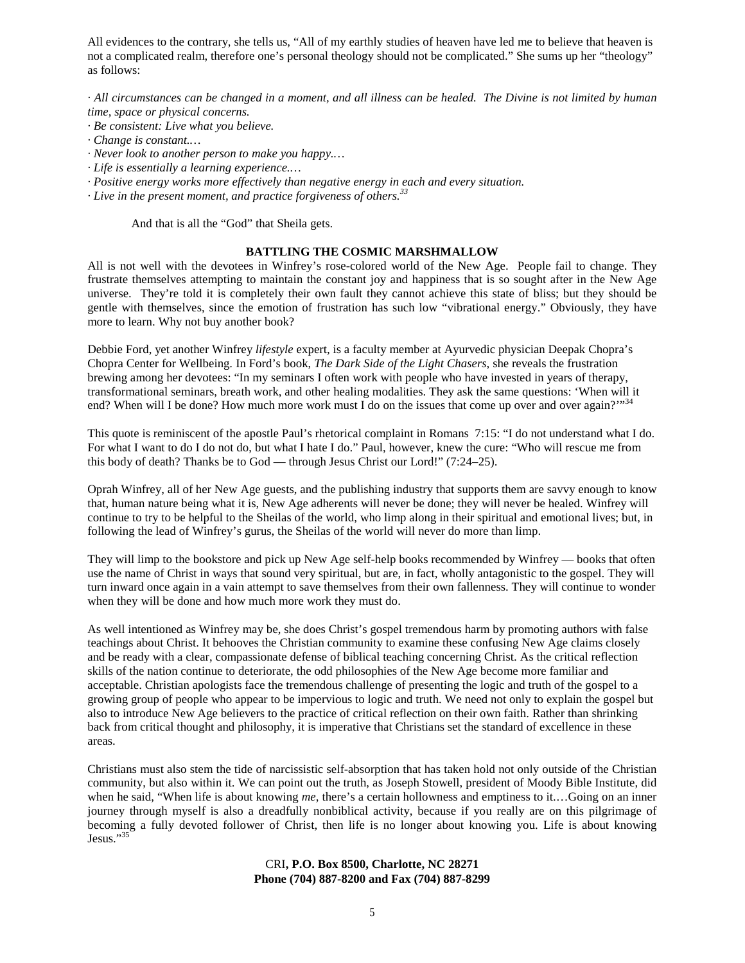All evidences to the contrary, she tells us, "All of my earthly studies of heaven have led me to believe that heaven is not a complicated realm, therefore one's personal theology should not be complicated." She sums up her "theology" as follows:

*· All circumstances can be changed in a moment, and all illness can be healed. The Divine is not limited by human time, space or physical concerns.*

- *· Be consistent: Live what you believe.*
- *· Change is constant.…*
- *· Never look to another person to make you happy.…*
- *· Life is essentially a learning experience.…*
- *· Positive energy works more effectively than negative energy in each and every situation.*
- *· Live in the present moment, and practice forgiveness of others.<sup>33</sup>*

And that is all the "God" that Sheila gets.

#### **BATTLING THE COSMIC MARSHMALLOW**

All is not well with the devotees in Winfrey's rose-colored world of the New Age. People fail to change. They frustrate themselves attempting to maintain the constant joy and happiness that is so sought after in the New Age universe. They're told it is completely their own fault they cannot achieve this state of bliss; but they should be gentle with themselves, since the emotion of frustration has such low "vibrational energy." Obviously, they have more to learn. Why not buy another book?

Debbie Ford, yet another Winfrey *lifestyle* expert, is a faculty member at Ayurvedic physician Deepak Chopra's Chopra Center for Wellbeing. In Ford's book, *The Dark Side of the Light Chasers*, she reveals the frustration brewing among her devotees: "In my seminars I often work with people who have invested in years of therapy, transformational seminars, breath work, and other healing modalities. They ask the same questions: 'When will it end? When will I be done? How much more work must I do on the issues that come up over and over again?"<sup>34</sup>

This quote is reminiscent of the apostle Paul's rhetorical complaint in Romans 7:15: "I do not understand what I do. For what I want to do I do not do, but what I hate I do." Paul, however, knew the cure: "Who will rescue me from this body of death? Thanks be to God — through Jesus Christ our Lord!" (7:24–25).

Oprah Winfrey, all of her New Age guests, and the publishing industry that supports them are savvy enough to know that, human nature being what it is, New Age adherents will never be done; they will never be healed. Winfrey will continue to try to be helpful to the Sheilas of the world, who limp along in their spiritual and emotional lives; but, in following the lead of Winfrey's gurus, the Sheilas of the world will never do more than limp.

They will limp to the bookstore and pick up New Age self-help books recommended by Winfrey — books that often use the name of Christ in ways that sound very spiritual, but are, in fact, wholly antagonistic to the gospel. They will turn inward once again in a vain attempt to save themselves from their own fallenness. They will continue to wonder when they will be done and how much more work they must do.

As well intentioned as Winfrey may be, she does Christ's gospel tremendous harm by promoting authors with false teachings about Christ. It behooves the Christian community to examine these confusing New Age claims closely and be ready with a clear, compassionate defense of biblical teaching concerning Christ. As the critical reflection skills of the nation continue to deteriorate, the odd philosophies of the New Age become more familiar and acceptable. Christian apologists face the tremendous challenge of presenting the logic and truth of the gospel to a growing group of people who appear to be impervious to logic and truth. We need not only to explain the gospel but also to introduce New Age believers to the practice of critical reflection on their own faith. Rather than shrinking back from critical thought and philosophy, it is imperative that Christians set the standard of excellence in these areas.

Christians must also stem the tide of narcissistic self-absorption that has taken hold not only outside of the Christian community, but also within it. We can point out the truth, as Joseph Stowell, president of Moody Bible Institute, did when he said, "When life is about knowing *me*, there's a certain hollowness and emptiness to it.…Going on an inner journey through myself is also a dreadfully nonbiblical activity, because if you really are on this pilgrimage of becoming a fully devoted follower of Christ, then life is no longer about knowing you. Life is about knowing Jesus."35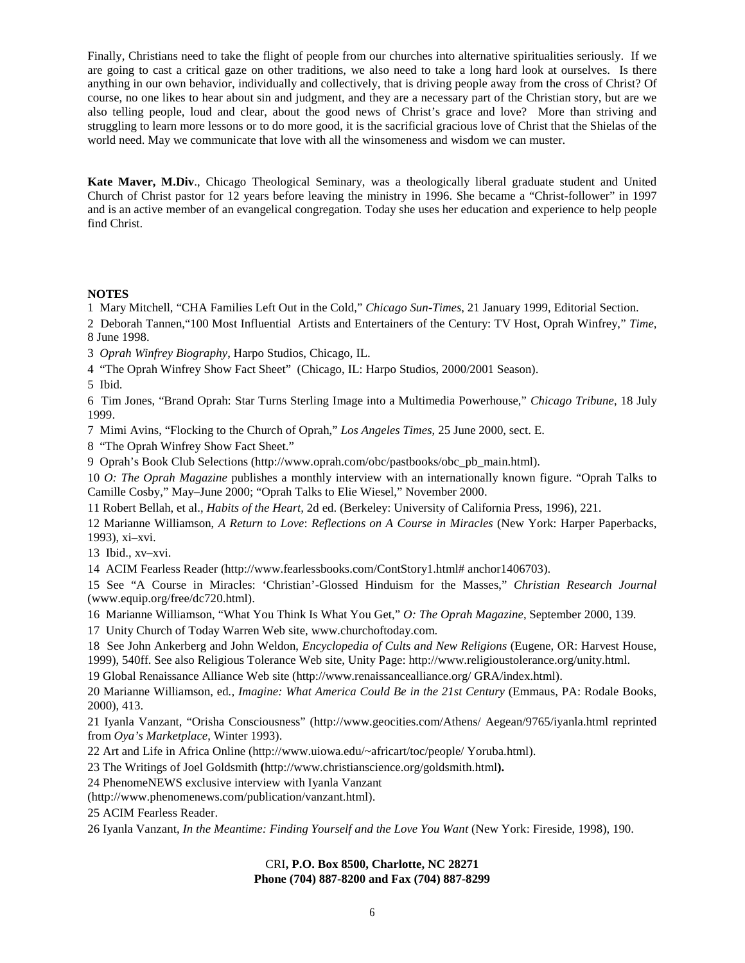Finally, Christians need to take the flight of people from our churches into alternative spiritualities seriously. If we are going to cast a critical gaze on other traditions, we also need to take a long hard look at ourselves. Is there anything in our own behavior, individually and collectively, that is driving people away from the cross of Christ? Of course, no one likes to hear about sin and judgment, and they are a necessary part of the Christian story, but are we also telling people, loud and clear, about the good news of Christ's grace and love? More than striving and struggling to learn more lessons or to do more good, it is the sacrificial gracious love of Christ that the Shielas of the world need. May we communicate that love with all the winsomeness and wisdom we can muster.

**Kate Maver, M.Div**., Chicago Theological Seminary, was a theologically liberal graduate student and United Church of Christ pastor for 12 years before leaving the ministry in 1996. She became a "Christ-follower" in 1997 and is an active member of an evangelical congregation. Today she uses her education and experience to help people find Christ.

# **NOTES**

1 Mary Mitchell, "CHA Families Left Out in the Cold," *Chicago Sun-Times*, 21 January 1999, Editorial Section.

2 Deborah Tannen,"100 Most Influential Artists and Entertainers of the Century: TV Host, Oprah Winfrey," *Time,* 8 June 1998.

3 *Oprah Winfrey Biography*, Harpo Studios, Chicago, IL.

4 "The Oprah Winfrey Show Fact Sheet" (Chicago, IL: Harpo Studios, 2000/2001 Season).

5 Ibid.

6 Tim Jones, "Brand Oprah: Star Turns Sterling Image into a Multimedia Powerhouse," *Chicago Tribune*, 18 July 1999.

7 Mimi Avins, "Flocking to the Church of Oprah," *Los Angeles Times*, 25 June 2000, sect. E.

8 "The Oprah Winfrey Show Fact Sheet."

9 Oprah's Book Club Selections (http://www.oprah.com/obc/pastbooks/obc\_pb\_main.html).

10 *O: The Oprah Magazine* publishes a monthly interview with an internationally known figure. "Oprah Talks to Camille Cosby," May–June 2000; "Oprah Talks to Elie Wiesel," November 2000.

11 Robert Bellah, et al., *Habits of the Heart,* 2d ed. (Berkeley: University of California Press, 1996), 221.

12 Marianne Williamson, *A Return to Love*: *Reflections on A Course in Miracles* (New York: Harper Paperbacks, 1993), xi–xvi.

13 Ibid., xv–xvi.

14 ACIM Fearless Reader (http://www.fearlessbooks.com/ContStory1.html# anchor1406703).

15 See "A Course in Miracles: 'Christian'-Glossed Hinduism for the Masses," *Christian Research Journal* (www.equip.org/free/dc720.html).

16 Marianne Williamson, "What You Think Is What You Get," *O: The Oprah Magazine*, September 2000, 139.

17 Unity Church of Today Warren Web site, www.churchoftoday.com.

18 See John Ankerberg and John Weldon, *Encyclopedia of Cults and New Religions* (Eugene, OR: Harvest House, 1999), 540ff. See also Religious Tolerance Web site, Unity Page: http://www.religioustolerance.org/unity.html.

19 Global Renaissance Alliance Web site (http://www.renaissancealliance.org/ GRA/index.html).

20 Marianne Williamson, ed*., Imagine: What America Could Be in the 21st Century* (Emmaus, PA: Rodale Books, 2000), 413.

21 Iyanla Vanzant, "Orisha Consciousness" (http://www.geocities.com/Athens/ Aegean/9765/iyanla.html reprinted from *Oya's Marketplace*, Winter 1993).

22 Art and Life in Africa Online (http://www.uiowa.edu/~africart/toc/people/ Yoruba.html).

23 The Writings of Joel Goldsmith **(**http://www.christianscience.org/goldsmith.html**).**

24 PhenomeNEWS exclusive interview with Iyanla Vanzant

(http://www.phenomenews.com/publication/vanzant.html).

25 ACIM Fearless Reader.

26 Iyanla Vanzant, *In the Meantime: Finding Yourself and the Love You Want* (New York: Fireside, 1998), 190.